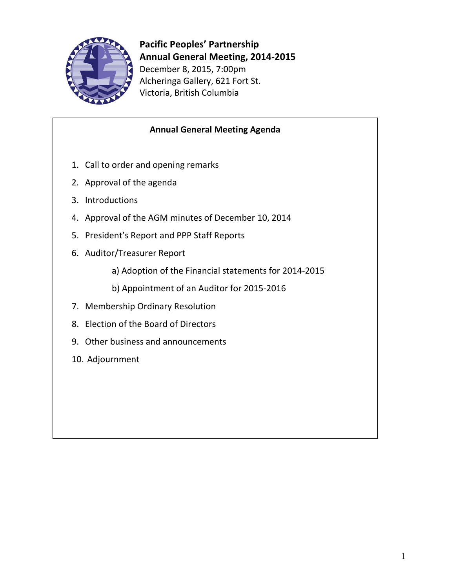

**Pacific Peoples' Partnership Annual General Meeting, 2014-2015** December 8, 2015, 7:00pm Alcheringa Gallery, 621 Fort St. Victoria, British Columbia

## **Annual General Meeting Agenda**

- 1. Call to order and opening remarks
- 2. Approval of the agenda
- 3. Introductions
- 4. Approval of the AGM minutes of December 10, 2014
- 5. President's Report and PPP Staff Reports
- 6. Auditor/Treasurer Report
	- a) Adoption of the Financial statements for 2014-2015
	- b) Appointment of an Auditor for 2015-2016
- 7. Membership Ordinary Resolution
- 8. Election of the Board of Directors
- 9. Other business and announcements
- 10. Adjournment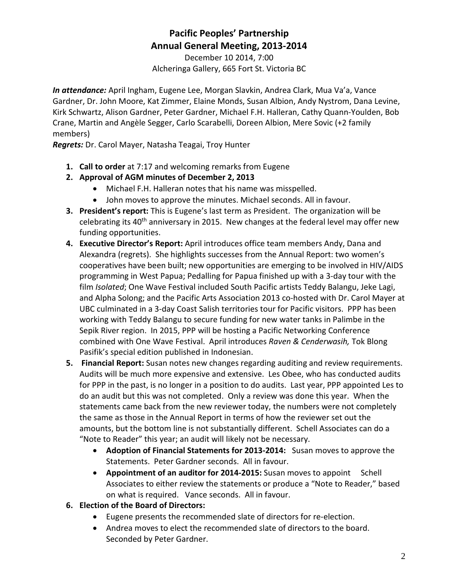## **Pacific Peoples' Partnership Annual General Meeting, 2013-2014**

December 10 2014, 7:00 Alcheringa Gallery, 665 Fort St. Victoria BC

*In attendance:* April Ingham, Eugene Lee, Morgan Slavkin, Andrea Clark, Mua Va'a, Vance Gardner, Dr. John Moore, Kat Zimmer, Elaine Monds, Susan Albion, Andy Nystrom, Dana Levine, Kirk Schwartz, Alison Gardner, Peter Gardner, Michael F.H. Halleran, Cathy Quann-Youlden, Bob Crane, Martin and Angèle Segger, Carlo Scarabelli, Doreen Albion, Mere Sovic (+2 family members)

*Regrets:* Dr. Carol Mayer, Natasha Teagai, Troy Hunter

- **1. Call to order** at 7:17 and welcoming remarks from Eugene
- **2. Approval of AGM minutes of December 2, 2013**
	- Michael F.H. Halleran notes that his name was misspelled.
	- John moves to approve the minutes. Michael seconds. All in favour.
- **3. President's report:** This is Eugene's last term as President. The organization will be celebrating its 40<sup>th</sup> anniversary in 2015. New changes at the federal level may offer new funding opportunities.
- **4. Executive Director's Report:** April introduces office team members Andy, Dana and Alexandra (regrets). She highlights successes from the Annual Report: two women's cooperatives have been built; new opportunities are emerging to be involved in HIV/AIDS programming in West Papua; Pedalling for Papua finished up with a 3-day tour with the film *Isolated*; One Wave Festival included South Pacific artists Teddy Balangu, Jeke Lagi, and Alpha Solong; and the Pacific Arts Association 2013 co-hosted with Dr. Carol Mayer at UBC culminated in a 3-day Coast Salish territories tour for Pacific visitors. PPP has been working with Teddy Balangu to secure funding for new water tanks in Palimbe in the Sepik River region. In 2015, PPP will be hosting a Pacific Networking Conference combined with One Wave Festival. April introduces *Raven & Cenderwasih,* Tok Blong Pasifik's special edition published in Indonesian.
- **5. Financial Report:** Susan notes new changes regarding auditing and review requirements. Audits will be much more expensive and extensive. Les Obee, who has conducted audits for PPP in the past, is no longer in a position to do audits. Last year, PPP appointed Les to do an audit but this was not completed. Only a review was done this year. When the statements came back from the new reviewer today, the numbers were not completely the same as those in the Annual Report in terms of how the reviewer set out the amounts, but the bottom line is not substantially different. Schell Associates can do a "Note to Reader" this year; an audit will likely not be necessary.
	- **Adoption of Financial Statements for 2013-2014:** Susan moves to approve the Statements. Peter Gardner seconds. All in favour.
	- **Appointment of an auditor for 2014-2015:** Susan moves to appoint Schell Associates to either review the statements or produce a "Note to Reader," based on what is required. Vance seconds. All in favour.
- **6. Election of the Board of Directors:**
	- Eugene presents the recommended slate of directors for re-election.
	- Andrea moves to elect the recommended slate of directors to the board. Seconded by Peter Gardner.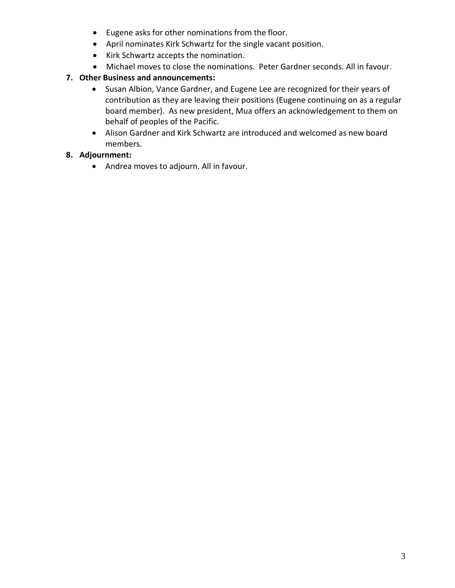- Eugene asks for other nominations from the floor.
- April nominates Kirk Schwartz for the single vacant position.
- Kirk Schwartz accepts the nomination.
- Michael moves to close the nominations. Peter Gardner seconds. All in favour.

## **7. Other Business and announcements:**

- Susan Albion, Vance Gardner, and Eugene Lee are recognized for their years of contribution as they are leaving their positions (Eugene continuing on as a regular board member). As new president, Mua offers an acknowledgement to them on behalf of peoples of the Pacific.
- Alison Gardner and Kirk Schwartz are introduced and welcomed as new board members.

## **8. Adjournment:**

• Andrea moves to adjourn. All in favour.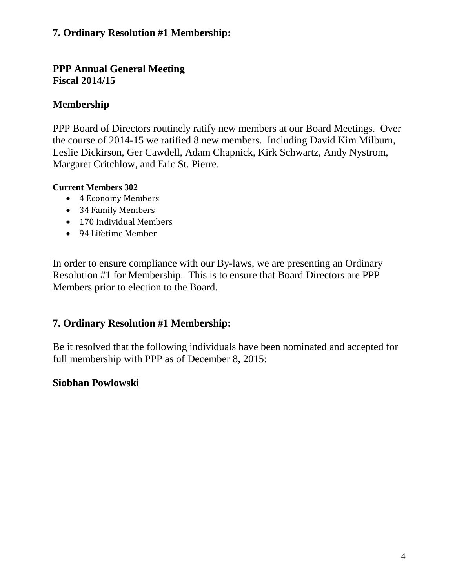## **7. Ordinary Resolution #1 Membership:**

## **PPP Annual General Meeting Fiscal 2014/15**

## **Membership**

PPP Board of Directors routinely ratify new members at our Board Meetings. Over the course of 2014-15 we ratified 8 new members. Including David Kim Milburn, Leslie Dickirson, Ger Cawdell, Adam Chapnick, Kirk Schwartz, Andy Nystrom, Margaret Critchlow, and Eric St. Pierre.

## **Current Members 302**

- 4 Economy Members
- 34 Family Members
- 170 Individual Members
- 94 Lifetime Member

In order to ensure compliance with our By-laws, we are presenting an Ordinary Resolution #1 for Membership. This is to ensure that Board Directors are PPP Members prior to election to the Board.

## **7. Ordinary Resolution #1 Membership:**

Be it resolved that the following individuals have been nominated and accepted for full membership with PPP as of December 8, 2015:

## **Siobhan Powlowski**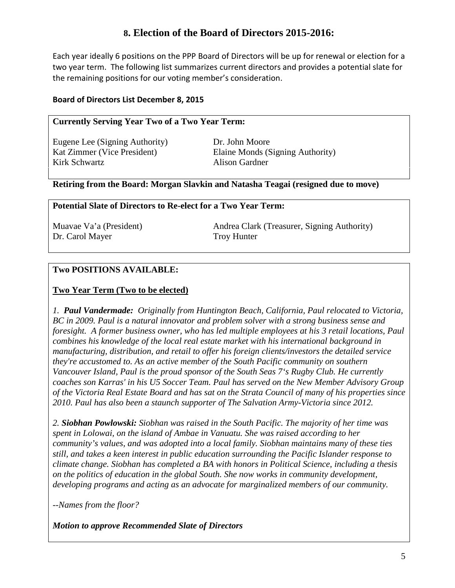## **8. Election of the Board of Directors 2015-2016:**

Each year ideally 6 positions on the PPP Board of Directors will be up for renewal or election for a two year term. The following list summarizes current directors and provides a potential slate for the remaining positions for our voting member's consideration.

### **Board of Directors List December 8, 2015**

### **Currently Serving Year Two of a Two Year Term:**

Eugene Lee (Signing Authority) Dr. John Moore Kirk Schwartz **Alison Gardner** 

Kat Zimmer (Vice President) Elaine Monds (Signing Authority)

### **Retiring from the Board: Morgan Slavkin and Natasha Teagai (resigned due to move)**

### **Potential Slate of Directors to Re-elect for a Two Year Term:**

Dr. Carol Mayer Troy Hunter

Muavae Va'a (President) Andrea Clark (Treasurer, Signing Authority)

## **Two POSITIONS AVAILABLE:**

### **Two Year Term (Two to be elected)**

*1. Paul Vandermade: Originally from Huntington Beach, California, Paul relocated to Victoria, BC in 2009. Paul is a natural innovator and problem solver with a strong business sense and foresight. A former business owner, who has led multiple employees at his 3 retail locations, Paul combines his knowledge of the local real estate market with his international background in manufacturing, distribution, and retail to offer his foreign clients/investors the detailed service they're accustomed to. As an active member of the South Pacific community on southern Vancouver Island, Paul is the proud sponsor of the South Seas 7's Rugby Club. He currently coaches son Karras' in his U5 Soccer Team. Paul has served on the New Member Advisory Group of the Victoria Real Estate Board and has sat on the Strata Council of many of his properties since 2010. Paul has also been a staunch supporter of The Salvation Army-Victoria since 2012.*

*2. Siobhan Powlowski: Siobhan was raised in the South Pacific. The majority of her time was spent in Lolowai, on the island of Ambae in Vanuatu. She was raised according to her community's values, and was adopted into a local family. Siobhan maintains many of these ties still, and takes a keen interest in public education surrounding the Pacific Islander response to climate change. Siobhan has completed a BA with honors in Political Science, including a thesis on the politics of education in the global South. She now works in community development, developing programs and acting as an advocate for marginalized members of our community.*

*--Names from the floor?* 

*Motion to approve Recommended Slate of Directors*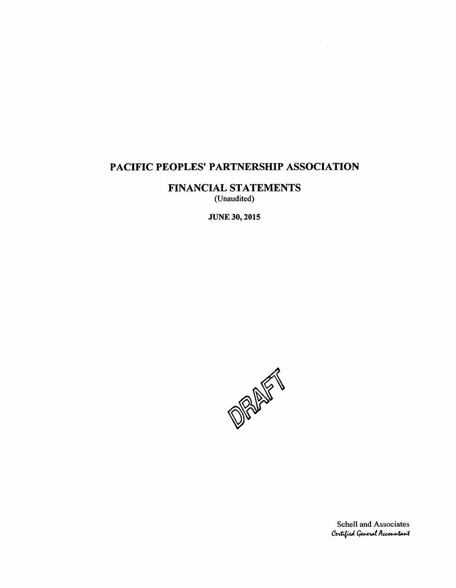## **FINANCIAL STATEMENTS** (Unaudited)

**JUNE 30, 2015** 

OF ALLEY

Schell and Associates Certified General Accountant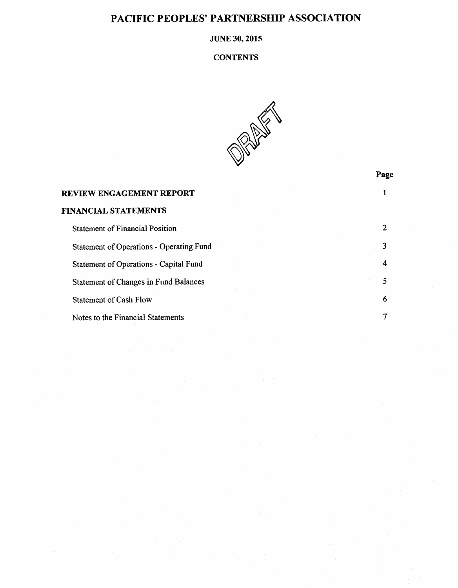### **JUNE 30, 2015**

#### **CONTENTS**



Page

#### $\mathbf{1}$ REVIEW ENGAGEMENT REPORT **FINANCIAL STATEMENTS**  $\overline{2}$ **Statement of Financial Position Statement of Operations - Operating Fund**  $\overline{\mathbf{3}}$ Statement of Operations - Capital Fund  $\overline{4}$ **Statement of Changes in Fund Balances** 5 6 **Statement of Cash Flow** Notes to the Financial Statements  $\pmb{7}$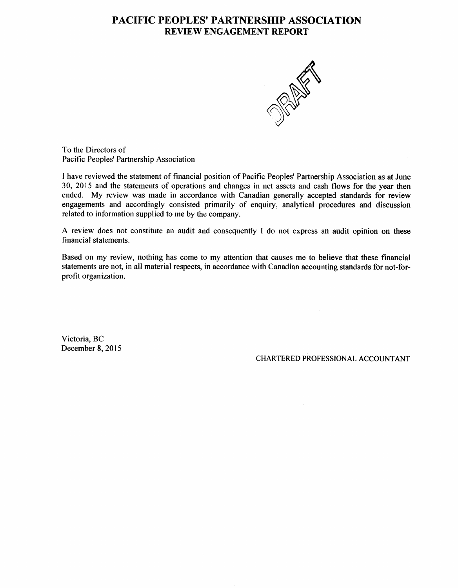## **PACIFIC PEOPLES' PARTNERSHIP ASSOCIATION REVIEW ENGAGEMENT REPORT**



To the Directors of Pacific Peoples' Partnership Association

I have reviewed the statement of financial position of Pacific Peoples' Partnership Association as at June 30, 2015 and the statements of operations and changes in net assets and cash flows for the year then ended. My review was made in accordance with Canadian generally accepted standards for review engagements and accordingly consisted primarily of enquiry, analytical procedures and discussion related to information supplied to me by the company.

A review does not constitute an audit and consequently I do not express an audit opinion on these financial statements.

Based on my review, nothing has come to my attention that causes me to believe that these financial statements are not, in all material respects, in accordance with Canadian accounting standards for not-forprofit organization.

Victoria, BC December 8, 2015

CHARTERED PROFESSIONAL ACCOUNTANT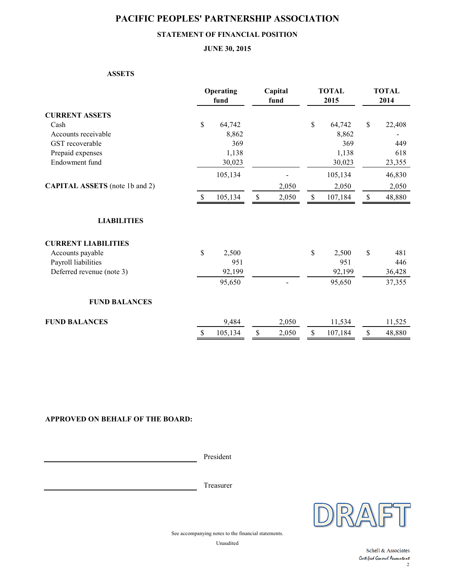### **STATEMENT OF FINANCIAL POSITION**

#### **JUNE 30, 2015**

#### **ASSETS**

|                                       | Operating<br>fund |         | Capital<br>fund |       |             | <b>TOTAL</b><br>2015 | <b>TOTAL</b><br>2014 |        |
|---------------------------------------|-------------------|---------|-----------------|-------|-------------|----------------------|----------------------|--------|
| <b>CURRENT ASSETS</b>                 |                   |         |                 |       |             |                      |                      |        |
| Cash                                  | \$                | 64,742  |                 |       | $\mathbb S$ | 64,742               | $\mathbb S$          | 22,408 |
| Accounts receivable                   |                   | 8,862   |                 |       |             | 8,862                |                      |        |
| GST recoverable                       |                   | 369     |                 |       |             | 369                  |                      | 449    |
| Prepaid expenses                      |                   | 1,138   |                 |       |             | 1,138                |                      | 618    |
| Endowment fund                        |                   | 30,023  |                 |       |             | 30,023               |                      | 23,355 |
|                                       |                   | 105,134 |                 |       |             | 105,134              |                      | 46,830 |
| <b>CAPITAL ASSETS</b> (note 1b and 2) |                   |         | 2,050           |       |             | 2,050                |                      | 2,050  |
|                                       | $\mathbb{S}$      | 105,134 | $\$$            | 2,050 | \$          | 107,184              | $\mathbb S$          | 48,880 |
| <b>LIABILITIES</b>                    |                   |         |                 |       |             |                      |                      |        |
| <b>CURRENT LIABILITIES</b>            |                   |         |                 |       |             |                      |                      |        |
| Accounts payable                      | \$                | 2,500   |                 |       | \$          | 2,500                | \$                   | 481    |
| Payroll liabilities                   |                   | 951     |                 |       |             | 951                  |                      | 446    |
| Deferred revenue (note 3)             |                   | 92,199  |                 |       |             | 92,199               |                      | 36,428 |
|                                       |                   | 95,650  |                 |       |             | 95,650               |                      | 37,355 |
| <b>FUND BALANCES</b>                  |                   |         |                 |       |             |                      |                      |        |
| <b>FUND BALANCES</b>                  |                   | 9,484   |                 | 2,050 |             | 11,534               |                      | 11,525 |
|                                       | $\mathbb S$       | 105,134 | \$              | 2,050 | $\mathbb S$ | 107,184              | $\$$                 | 48,880 |

#### **APPROVED ON BEHALF OF THE BOARD:**

President

Treasurer



See accompanying notes to the financial statements.

Unaudited

2 Schell & Associates Certified General Accountant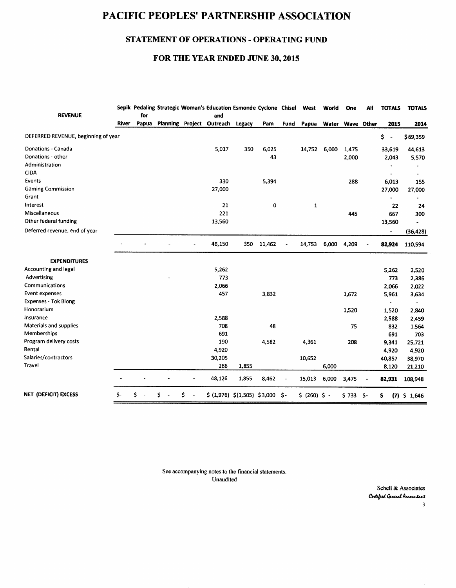## STATEMENT OF OPERATIONS - OPERATING FUND

### FOR THE YEAR ENDED JUNE 30, 2015

| <b>REVENUE</b>                      |       | for   |   |   | Sepik Pedaling Strategic Woman's Education Esmonde Cyclone Chisel West<br>and |        |         |                |                | World | One         | All        | <b>TOTALS</b>                  | <b>TOTALS</b>  |
|-------------------------------------|-------|-------|---|---|-------------------------------------------------------------------------------|--------|---------|----------------|----------------|-------|-------------|------------|--------------------------------|----------------|
|                                     | River | Papua |   |   | Planning Project Outreach                                                     | Legacy | Pam     | Fund           | Papua          | Water |             | Wave Other | 2015                           | 2014           |
| DEFERRED REVENUE, beginning of year |       |       |   |   |                                                                               |        |         |                |                |       |             |            | \$<br>$\overline{\phantom{a}}$ | \$69,359       |
| Donations - Canada                  |       |       |   |   | 5,017                                                                         | 350    | 6,025   |                | 14,752         | 6,000 | 1,475       |            | 33,619                         | 44,613         |
| Donations - other                   |       |       |   |   |                                                                               |        | 43      |                |                |       | 2,000       |            | 2,043                          | 5,570          |
| Administration                      |       |       |   |   |                                                                               |        |         |                |                |       |             |            |                                |                |
| <b>CIDA</b>                         |       |       |   |   |                                                                               |        |         |                |                |       |             |            |                                | $\bullet$      |
| <b>Events</b>                       |       |       |   |   | 330                                                                           |        | 5,394   |                |                |       | 288         |            | 6,013                          | 155            |
| <b>Gaming Commission</b>            |       |       |   |   | 27,000                                                                        |        |         |                |                |       |             |            | 27,000                         | 27,000         |
| Grant                               |       |       |   |   |                                                                               |        |         |                |                |       |             |            |                                |                |
| Interest                            |       |       |   |   | 21                                                                            |        | $\bf o$ |                | $\mathbf{1}$   |       |             |            | 22                             | 24             |
| Miscellaneous                       |       |       |   |   | 221                                                                           |        |         |                |                |       | 445         |            | 667                            | 300            |
| Other federal funding               |       |       |   |   | 13,560                                                                        |        |         |                |                |       |             |            | 13,560                         |                |
| Deferred revenue, end of year       |       |       |   |   |                                                                               |        |         |                |                |       |             |            |                                | (36, 428)      |
|                                     |       |       |   |   | 46,150                                                                        | 350    | 11,462  |                | 14,753         | 6,000 | 4,209       |            | 82,924                         | 110,594        |
| <b>EXPENDITURES</b>                 |       |       |   |   |                                                                               |        |         |                |                |       |             |            |                                |                |
| Accounting and legal                |       |       |   |   | 5,262                                                                         |        |         |                |                |       |             |            | 5,262                          | 2,520          |
| Advertising                         |       |       |   |   | 773                                                                           |        |         |                |                |       |             |            | 773                            | 2,386          |
| Communications                      |       |       |   |   | 2,066                                                                         |        |         |                |                |       |             |            | 2,066                          | 2,022          |
| Event expenses                      |       |       |   |   | 457                                                                           |        | 3,832   |                |                |       | 1,672       |            | 5,961                          | 3,634          |
| <b>Expenses - Tok Blong</b>         |       |       |   |   |                                                                               |        |         |                |                |       |             |            |                                |                |
| Honorarium                          |       |       |   |   |                                                                               |        |         |                |                |       | 1,520       |            | 1,520                          | 2,840          |
| Insurance                           |       |       |   |   | 2,588                                                                         |        |         |                |                |       |             |            | 2,588                          | 2,459          |
| Materials and supplies              |       |       |   |   | 708                                                                           |        | 48      |                |                |       | 75          |            | 832                            | 1,564          |
| Memberships                         |       |       |   |   | 691                                                                           |        |         |                |                |       |             |            | 691                            | 703            |
| Program delivery costs              |       |       |   |   | 190                                                                           |        | 4,582   |                | 4,361          |       | 208         |            | 9,341                          | 25,721         |
| Rental                              |       |       |   |   | 4,920                                                                         |        |         |                |                |       |             |            | 4,920                          | 4,920          |
| Salaries/contractors                |       |       |   |   | 30,205                                                                        |        |         |                | 10,652         |       |             |            | 40,857                         | 38,970         |
| Travel                              |       |       |   |   | 266                                                                           | 1,855  |         |                |                | 6,000 |             |            | 8,120                          | 21,210         |
|                                     |       |       |   |   | 48,126                                                                        | 1,855  | 8,462   | $\overline{a}$ | 15,013         | 6,000 | 3,475       |            | 82,931                         | 108,948        |
| NET (DEFICIT) EXCESS                | \$-   | Ś     | Ś | Ś | $$ (1,976) $ (1,505) $ 3,000 $ -$                                             |        |         |                | $$ (260) $ -$$ |       | $$733$ $$-$ |            | \$                             | $(7)$ \$ 1,646 |

See accompanying notes to the financial statements. Unaudited

> Schell & Associates Certified General Accountant  $\overline{\mathbf{3}}$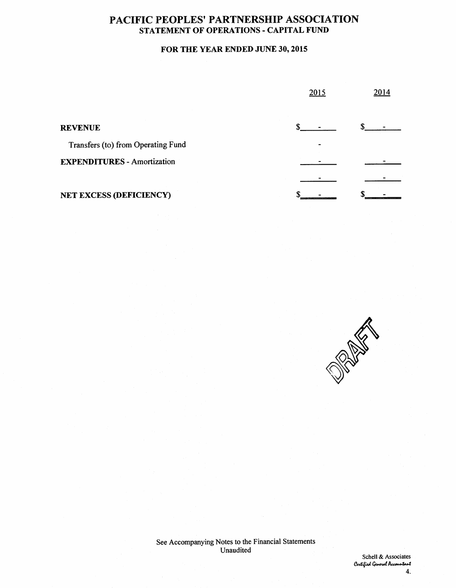## PACIFIC PEOPLES' PARTNERSHIP ASSOCIATION STATEMENT OF OPERATIONS - CAPITAL FUND

## FOR THE YEAR ENDED JUNE 30, 2015

|                                    | 2015 | 2014 |  |  |
|------------------------------------|------|------|--|--|
| <b>REVENUE</b>                     |      |      |  |  |
| Transfers (to) from Operating Fund |      |      |  |  |
| <b>EXPENDITURES - Amortization</b> |      |      |  |  |
|                                    |      |      |  |  |
| <b>NET EXCESS (DEFICIENCY)</b>     |      |      |  |  |



See Accompanying Notes to the Financial Statements Unaudited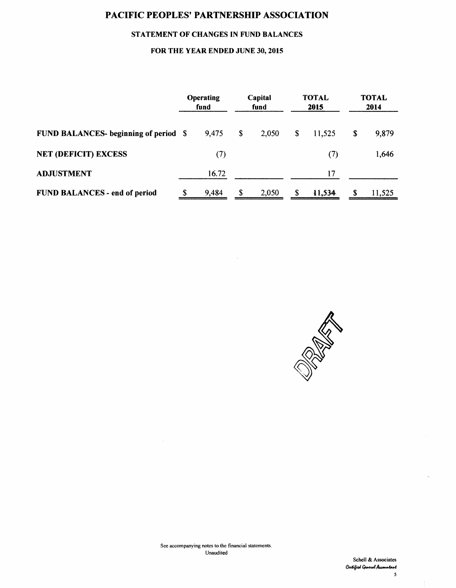### STATEMENT OF CHANGES IN FUND BALANCES

### FOR THE YEAR ENDED JUNE 30, 2015

|                                              |  | Operating<br>fund |    | Capital<br>fund |               | <b>TOTAL</b><br>2015 | <b>TOTAL</b><br>2014 |        |
|----------------------------------------------|--|-------------------|----|-----------------|---------------|----------------------|----------------------|--------|
| <b>FUND BALANCES- beginning of period \$</b> |  | 9,475             | \$ | 2,050           | \$            | 11,525               | S                    | 9,879  |
| <b>NET (DEFICIT) EXCESS</b>                  |  | (7)               |    |                 |               | (7)                  |                      | 1,646  |
| <b>ADJUSTMENT</b>                            |  | 16.72             |    |                 |               | 17                   |                      |        |
| FUND BALANCES - end of period                |  | 9,484             | \$ | 2,050           | <sup>\$</sup> | 11,534               | S                    | 11,525 |

 $\mathcal{L}$ 



 $\bar{\gamma}$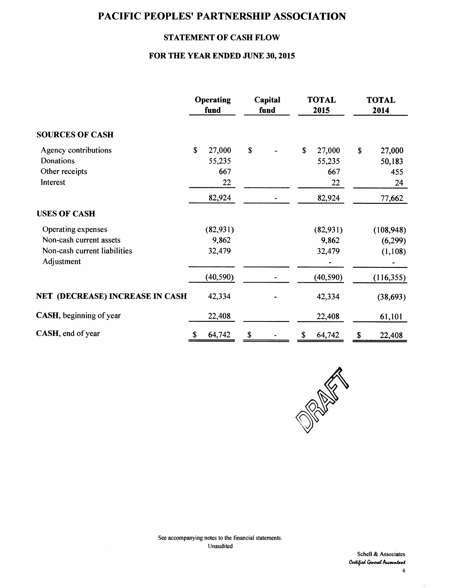## **STATEMENT OF CASH FLOW**

### FOR THE YEAR ENDED JUNE 30, 2015

|                                        | Operating<br>fund |           | Capital<br>fund |  | <b>TOTAL</b><br>2015 |           | <b>TOTAL</b><br>2014 |            |
|----------------------------------------|-------------------|-----------|-----------------|--|----------------------|-----------|----------------------|------------|
| <b>SOURCES OF CASH</b>                 |                   |           |                 |  |                      |           |                      |            |
| Agency contributions                   | $\mathbf S$       | 27,000    | \$              |  | \$                   | 27,000    | $\mathbf S$          | 27,000     |
| Donations                              |                   | 55,235    |                 |  |                      | 55,235    |                      | 50,183     |
| Other receipts                         |                   | 667       |                 |  |                      | 667       |                      | 455        |
| Interest                               |                   | 22        |                 |  |                      | 22        |                      | 24         |
|                                        |                   | 82,924    |                 |  |                      | 82,924    |                      | 77,662     |
| <b>USES OF CASH</b>                    |                   |           |                 |  |                      |           |                      |            |
| Operating expenses                     |                   | (82, 931) |                 |  |                      | (82,931)  |                      | (108, 948) |
| Non-cash current assets                |                   | 9,862     |                 |  |                      | 9,862     |                      | (6,299)    |
| Non-cash current liabilities           |                   | 32,479    |                 |  |                      | 32,479    |                      | (1,108)    |
| Adjustment                             |                   |           |                 |  |                      |           |                      |            |
|                                        |                   | (40, 590) |                 |  |                      | (40, 590) |                      | (116, 355) |
| <b>NET (DECREASE) INCREASE IN CASH</b> |                   | 42,334    |                 |  |                      | 42,334    |                      | (38, 693)  |
| <b>CASH</b> , beginning of year        |                   | 22,408    |                 |  |                      | 22,408    |                      | 61,101     |
| CASH, end of year                      | \$                | 64,742    | \$              |  | \$                   | 64,742    | \$                   | 22,408     |



 $\sim$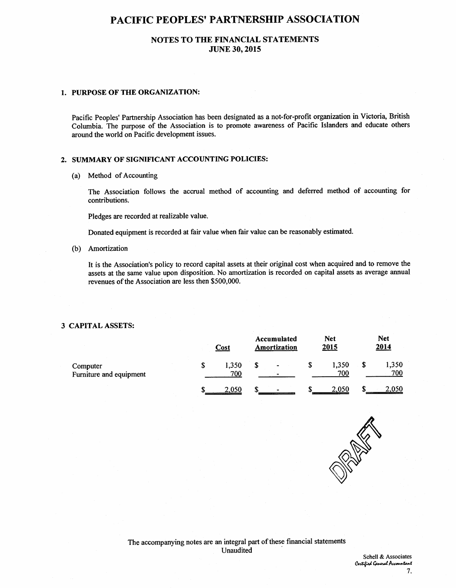### NOTES TO THE FINANCIAL STATEMENTS **JUNE 30, 2015**

#### 1. PURPOSE OF THE ORGANIZATION:

Pacific Peoples' Partnership Association has been designated as a not-for-profit organization in Victoria, British Columbia. The purpose of the Association is to promote awareness of Pacific Islanders and educate others around the world on Pacific development issues.

#### 2. SUMMARY OF SIGNIFICANT ACCOUNTING POLICIES:

(a) Method of Accounting

The Association follows the accrual method of accounting and deferred method of accounting for contributions.

Pledges are recorded at realizable value.

Donated equipment is recorded at fair value when fair value can be reasonably estimated.

(b) Amortization

It is the Association's policy to record capital assets at their original cost when acquired and to remove the assets at the same value upon disposition. No amortization is recorded on capital assets as average annual revenues of the Association are less then \$500,000.

#### **3 CAPITAL ASSETS:**

|                                     |  | Accumulated<br>Amortization | <b>Net</b><br>2015               |  | <b>Net</b><br>2014 |  |              |
|-------------------------------------|--|-----------------------------|----------------------------------|--|--------------------|--|--------------|
| Computer<br>Furniture and equipment |  | 1,350<br>700                | $\blacksquare$<br>$\blacksquare$ |  | 1,350<br>700       |  | 1,350<br>700 |
|                                     |  | 2.050                       | $\overline{\phantom{0}}$         |  | 2,050              |  |              |